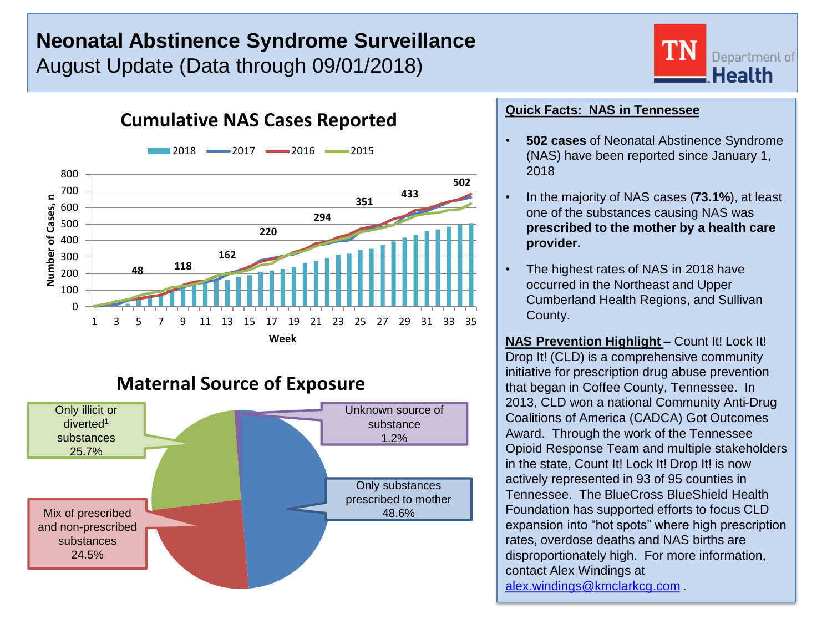# **Neonatal Abstinence Syndrome Surveillance**

**Cumulative NAS Cases Reported**

August Update (Data through 09/01/2018)



**Maternal Source of Exposure**



### **Quick Facts: NAS in Tennessee**

- **502 cases** of Neonatal Abstinence Syndrome (NAS) have been reported since January 1, 2018
- In the majority of NAS cases (**73.1%**), at least one of the substances causing NAS was **prescribed to the mother by a health care provider.**
- The highest rates of NAS in 2018 have occurred in the Northeast and Upper Cumberland Health Regions, and Sullivan County.

**NAS Prevention Highlight –** Count It! Lock It! Drop It! (CLD) is a comprehensive community initiative for prescription drug abuse prevention that began in Coffee County, Tennessee. In 2013, CLD won a national Community Anti-Drug Coalitions of America (CADCA) Got Outcomes Award. Through the work of the Tennessee Opioid Response Team and multiple stakeholders in the state, Count It! Lock It! Drop It! is now actively represented in 93 of 95 counties in Tennessee. The BlueCross BlueShield Health Foundation has supported efforts to focus CLD expansion into "hot spots" where high prescription rates, overdose deaths and NAS births are disproportionately high. For more information, contact Alex Windings at [alex.windings@kmclarkcg.com](mailto:alex.windings@kmclarkcg.com) .